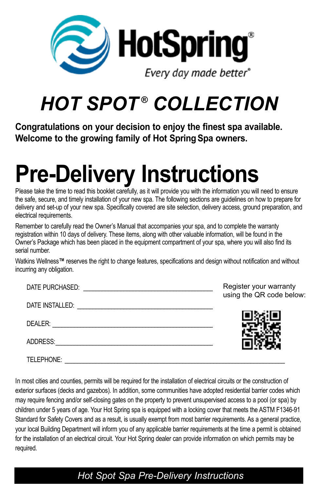

# *HOT SPOT ® COLLECTION*

**Congratulations on your decision to enjoy the finest spa available. Welcome to the growing family of Hot SpringSpa owners.**

# **Pre-Delivery Instructions**

Please take the time to read this booklet carefully, as it will provide you with the information you will need to ensure the safe, secure, and timely installation of your new spa. The following sections are guidelines on how to prepare for delivery and set-up of your new spa. Specifically covered are site selection, delivery access, ground preparation, and electrical requirements.

Remember to carefully read the Owner's Manual that accompanies your spa, and to complete the warranty registration within 10 days of delivery. These items, along with other valuable information, will be found in the Owner's Package which has been placed in the equipment compartment of your spa, where you will also find its serial number.

Watkins Wellness**™** reserves the right to change features, specifications and design without notification and without incurring any obligation.

| DATE PURCHASED: | Register your warranty<br>using the QR code below: |
|-----------------|----------------------------------------------------|
| DATE INSTALLED: |                                                    |
| DEALER:         |                                                    |
| ADDRESS:        |                                                    |
| TELEPHONE:      |                                                    |

In most cities and counties, permits will be required for the installation of electrical circuits or the construction of exterior surfaces (decks and gazebos). In addition, some communities have adopted residential barrier codes which may require fencing and/or self-closing gates on the property to prevent unsupervised access to a pool (or spa) by children under 5 years of age. Your Hot Spring spa is equipped with a locking cover that meets the ASTM F1346-91 Standard for Safety Covers and as a result, is usually exempt from most barrier requirements. As a general practice, your local Building Department will inform you of any applicable barrier requirements at the time a permit is obtained for the installation of an electrical circuit. Your Hot Spring dealer can provide information on which permits may be required.

#### *Hot Spot Spa Pre-Delivery Instructions*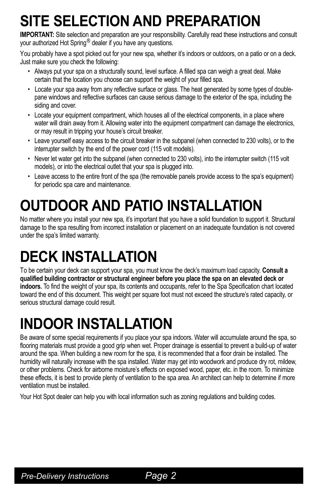## **SITE SELECTION AND PREPARATION**

**IMPORTANT:** Site selection and preparation are your responsibility. Carefully read these instructions and consult your authorized Hot Spring® dealer if you have any questions.

You probably have a spot picked out for your new spa, whether it's indoors or outdoors, on a patio or on a deck. Just make sure you check the following:

- Always put your spa on a structurally sound, level surface. A filled spa can weigh a great deal. Make certain that the location you choose can support the weight of your filled spa.
- Locate your spa away from any reflective surface or glass. The heat generated by some types of doublepane windows and reflective surfaces can cause serious damage to the exterior of the spa, including the siding and cover.
- Locate your equipment compartment, which houses all of the electrical components, in a place where water will drain away from it. Allowing water into the equipment compartment can damage the electronics, or may result in tripping your house's circuit breaker.
- Leave yourself easy access to the circuit breaker in the subpanel (when connected to 230 volts), or to the interrupter switch by the end of the power cord (115 volt models).
- Never let water get into the subpanel (when connected to 230 volts), into the interrupter switch (115 volt models), or into the electrical outlet that your spa is plugged into.
- Leave access to the entire front of the spa (the removable panels provide access to the spa's equipment) for periodic spa care and maintenance.

## **OUTDOOR AND PATIO INSTALLATION**

No matter where you install your new spa, it's important that you have a solid foundation to support it. Structural damage to the spa resulting from incorrect installation or placement on an inadequate foundation is not covered under the spa's limited warranty.

## **DECK INSTALLATION**

To be certain your deck can support your spa, you must know the deck's maximum load capacity. **Consult a qualified building contractor or structural engineer before you place the spa on an elevated deck or indoors.** To find the weight of your spa, its contents and occupants, refer to the Spa Specification chart located toward the end of this document. This weight per square foot must not exceed the structure's rated capacity, or serious structural damage could result.

### **INDOOR INSTALLATION**

Be aware of some special requirements if you place your spa indoors. Water will accumulate around the spa, so flooring materials must provide a good grip when wet. Proper drainage is essential to prevent a build-up of water around the spa. When building a new room for the spa, it is recommended that a floor drain be installed. The humidity will naturally increase with the spa installed. Water may get into woodwork and produce dry rot, mildew, or other problems. Check for airborne moisture's effects on exposed wood, paper, etc. in the room. To minimize these effects, it is best to provide plenty of ventilation to the spa area. An architect can help to determine if more ventilation must be installed.

Your Hot Spot dealer can help you with local information such as zoning regulations and building codes.

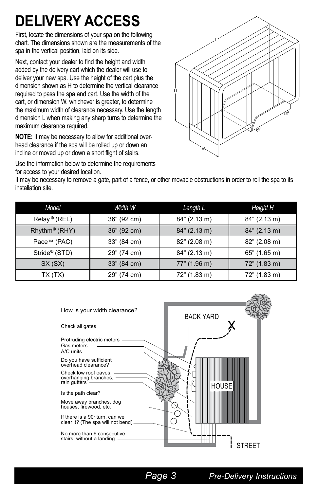### **DELIVERY ACCESS**

First, locate the dimensions of your spa on the following chart. The dimensions shown are the measurements of the spa in the vertical position, laid on its side.

Next, contact your dealer to find the height and width added by the delivery cart which the dealer will use to deliver your new spa. Use the height of the cart plus the dimension shown as H to determine the vertical clearance required to pass the spa and cart. Use the width of the cart, or dimension W, whichever is greater, to determine the maximum width of clearance necessary. Use the length dimension L when making any sharp turns to determine the maximum clearance required.

**NOTE:** It may be necessary to allow for additional overhead clearance if the spa will be rolled up or down an incline or moved up or down a short flight of stairs.

Use the information below to determine the requirements for access to your desired location.

It may be necessary to remove a gate, part of a fence, or other movable obstructions in order to roll the spa to its installation site.

| Model                    | Width W     | Length L     | Height H     |
|--------------------------|-------------|--------------|--------------|
| Relay <sup>®</sup> (REL) | 36" (92 cm) | 84" (2.13 m) | 84" (2.13 m) |
| Rhythm® (RHY)            | 36" (92 cm) | 84" (2.13 m) | 84" (2.13 m) |
| Pace™ (PAC)              | 33" (84 cm) | 82" (2.08 m) | 82" (2.08 m) |
| Stride® (STD)            | 29" (74 cm) | 84" (2.13 m) | 65" (1.65 m) |
| SX(SX)                   | 33" (84 cm) | 77" (1.96 m) | 72" (1.83 m) |
| TX (TX)                  | 29" (74 cm) | 72" (1.83 m) | 72" (1.83 m) |

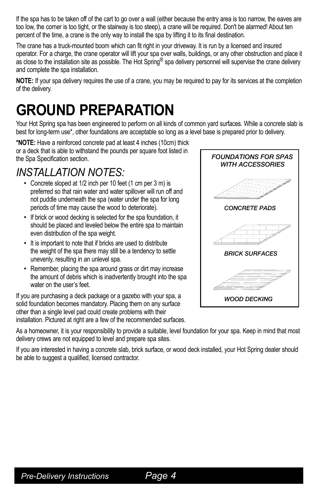If the spa has to be taken off of the cart to go over a wall (either because the entry area is too narrow, the eaves are too low, the corner is too tight, or the stairway is too steep), a crane will be required. Don't be alarmed! About ten percent of the time, a crane is the only way to install the spa by lifting it to its final destination.

The crane has a truck-mounted boom which can fit right in your driveway. It is run by a licensed and insured operator. For a charge, the crane operator will lift your spa over walls, buildings, or any other obstruction and place it as close to the installation site as possible. The Hot Spring® spa delivery personnel will supervise the crane delivery and complete the spa installation.

**NOTE:** If your spa delivery requires the use of a crane, you may be required to pay for its services at the completion of the delivery.

### **GROUND PREPARATION**

Your Hot Spring spa has been engineered to perform on all kinds of common yard surfaces. While a concrete slab is best for long-term use\*, other foundations are acceptable so long as a level base is prepared prior to delivery.

**\*NOTE:** Have a reinforced concrete pad at least 4 inches (10cm) thick or a deck that is able to withstand the pounds per square foot listed in the Spa Specification section.

#### *INSTALLATION NOTES:*

- Concrete sloped at 1/2 inch per 10 feet (1 cm per 3 m) is preferred so that rain water and water spillover will run off and not puddle underneath the spa (water under the spa for long periods of time may cause the wood to deteriorate).
- If brick or wood decking is selected for the spa foundation, it should be placed and leveled below the entire spa to maintain even distribution of the spa weight.
- It is important to note that if bricks are used to distribute the weight of the spa there may still be a tendency to settle unevenly, resulting in an unlevel spa.
- Remember, placing the spa around grass or dirt may increase the amount of debris which is inadvertently brought into the spa water on the user's feet.

If you are purchasing a deck package or a gazebo with your spa, a solid foundation becomes mandatory. Placing them on any surface other than a single level pad could create problems with their installation. Pictured at right are a few of the recommended surfaces.

As a homeowner, it is your responsibility to provide a suitable, level foundation for your spa. Keep in mind that most delivery crews are not equipped to level and prepare spa sites.

If you are interested in having a concrete slab, brick surface, or wood deck installed, your Hot Spring dealer should be able to suggest a qualified, licensed contractor.



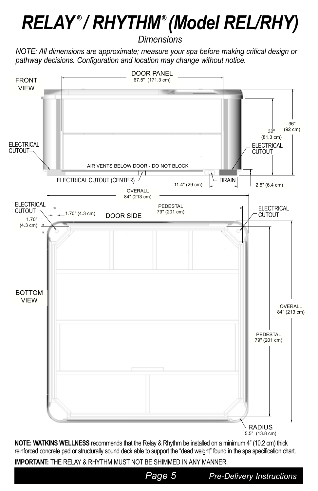## *RELAY*  **®** */ RHYTHM***®** *(Model REL/RHY)*

*Dimensions*

*NOTE: All dimensions are approximate; measure your spa before making critical design or pathway decisions. Configuration and location may change without notice.*



**NOTE: WATKINS WELLNESS** recommends that the Relay & Rhythm be installed on a minimum 4" (10.2 cm) thick reinforced concrete pad or structurally sound deck able to support the "dead weight" found in the spa specification chart. **IMPORTANT:** THE RELAY & RHYTHM MUST NOT BE SHIMMED IN ANY MANNER.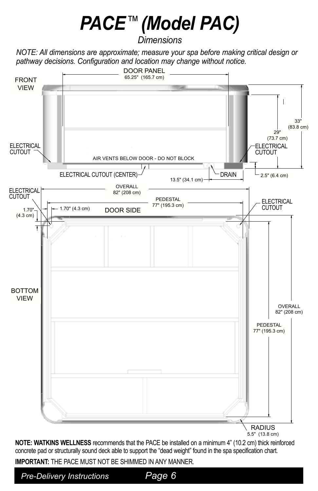# *PACE*™*(Model PAC)*

*Dimensions*

*NOTE: All dimensions are approximate; measure your spa before making critical design or pathway decisions. Configuration and location may change without notice.*



**NOTE: WATKINS WELLNESS** recommends that the PACE be installed on a minimum 4" (10.2 cm) thick reinforced concrete pad or structurally sound deck able to support the "dead weight" found in the spa specification chart.

**IMPORTANT:** THE PACE MUST NOT BE SHIMMED IN ANY MANNER.

*Pre-Delivery Instructions Page 6*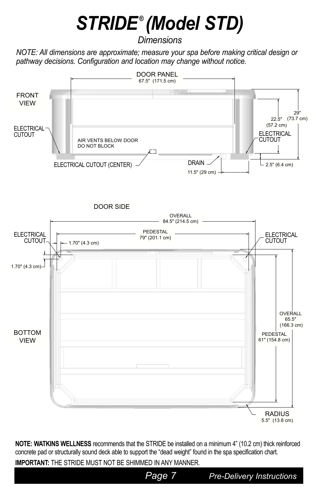# *STRIDE* **®** *(Model STD)*

*Dimensions*

*NOTE: All dimensions are approximate; measure your spa before making critical design or pathway decisions. Configuration and location may change without notice.*



**NOTE: WATKINS WELLNESS** recommends that the STRIDE be installed on a minimum 4" (10.2 cm) thick reinforced concrete pad or structurally sound deck able to support the "dead weight" found in the spa specification chart.

**IMPORTANT:** THE STRIDE MUST NOT BE SHIMMED IN ANY MANNER.

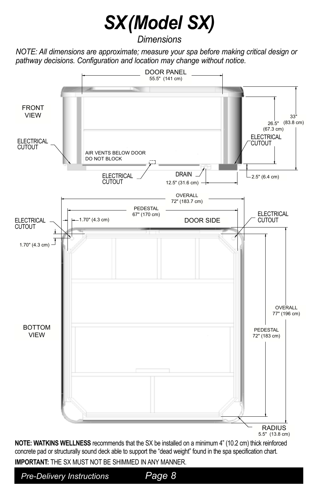## *SX(Model SX)*

*Dimensions*

*NOTE: All dimensions are approximate; measure your spa before making critical design or pathway decisions. Configuration and location may change without notice.*



**NOTE: WATKINS WELLNESS** recommends that the SX be installed on a minimum 4" (10.2 cm) thick reinforced concrete pad or structurally sound deck able to support the "dead weight" found in the spa specification chart. **IMPORTANT:** THE SX MUST NOT BE SHIMMED IN ANY MANNER.

*Pre-Delivery Instructions Page 8*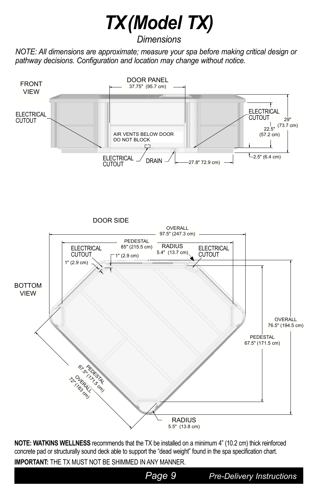## *TX(Model TX)*

*Dimensions*

*NOTE: All dimensions are approximate; measure your spa before making critical design or pathway decisions. Configuration and location may change without notice.*



**NOTE: WATKINS WELLNESS** recommends that the TX be installed on a minimum 4" (10.2 cm) thick reinforced concrete pad or structurally sound deck able to support the "dead weight" found in the spa specification chart.

**IMPORTANT:** THE TX MUST NOT BE SHIMMED IN ANY MANNER.

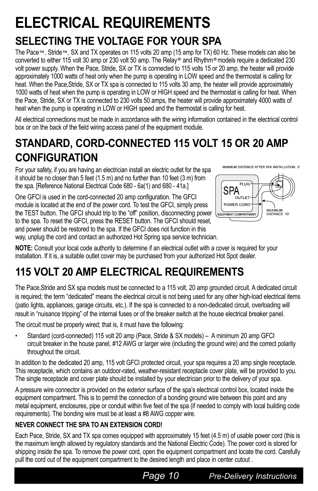## **ELECTRICAL REQUIREMENTS**

### **SELECTING THE VOLTAGE FOR YOUR SPA**

The Pace™, Stride™, SX and TX operates on 115 volts 20 amp (15 amp for TX) 60 Hz. These models can also be converted to either 115 volt 30 amp or 230 volt 50 amp. The Relay*®* and Rhythm*®* models require a dedicated 230 volt power supply. When the Pace, Stride, SX or TX is connected to 115 volts 15 or 20 amp, the heater will provide approximately 1000 watts of heat only when the pump is operating in LOW speed and the thermostat is calling for heat. When the Pace, Stride, SX or TX spa is connected to 115 volts 30 amp, the heater will provide approximately 1000 watts of heat when the pump is operating in LOW or HIGH speed and the thermostat is calling for heat. When the Pace, Stride, SX or TX is connected to 230 volts 50 amps, the heater will provide approximately 4000 watts of heat when the pump is operating in LOW or HIGH speed and the thermostat is calling for heat.

All electrical connections must be made in accordance with the wiring information contained in the electrical control box or on the back of the field wiring access panel of the equipment module.

### **STANDARD, CORD-CONNECTED 115 VOLT 15 OR 20 AMP CONFIGURATION**

For your safety, if you are having an electrician install an electric outlet for the spa it should be no closer than 5 feet (1.5 m) and no further than 10 feet (3 m) from the spa. [Reference National Electrical Code 680 - 6a(1) and 680 - 41a.]

One GFCI is used in the cord-connected 20 amp configuration. The GFCI module is located at the end of the power cord. To test the GFCI, simply press the TEST button. The GFCI should trip to the "off" position, disconnecting power to the spa. To reset the GFCI, press the RESET button. The GFCI should reset, and power should be restored to the spa. If the GFCI does not function in this way, unplug the cord and contact an authorized Hot Spring spa service technician.





**NOTE:** Consult your local code authority to determine if an electrical outlet with a cover is required for your installation. If it is, a suitable outlet cover may be purchased from your authorized Hot Spot dealer.

### **115 VOLT 20 AMP ELECTRICAL REQUIREMENTS**

The Pace,Stride and SX spa models must be connected to a 115 volt, 20 amp grounded circuit. A dedicated circuit is required; the term "dedicated" means the electrical circuit is not being used for any other high-load electrical items (patio lights, appliances, garage circuits, etc.). If the spa is connected to a non-dedicated circuit, overloading will result in "nuisance tripping" of the internal fuses or of the breaker switch at the house electrical breaker panel.

The circuit must be properly wired; that is, it must have the following:

• Standard (cord-connected) 115 volt 20 amp (Pace, Stride & SX models) – A minimum 20 amp GFCI circuit breaker in the house panel, #12 AWG or larger wire (including the ground wire) and the correct polarity throughout the circuit.

In addition to the dedicated 20 amp, 115 volt GFCI protected circuit, your spa requires a 20 amp single receptacle. This receptacle, which contains an outdoor-rated, weather-resistant receptacle cover plate, will be provided to you. The single receptacle and cover plate should be installed by your electrician prior to the delivery of your spa.

A pressure wire connector is provided on the exterior surface of the spa's electrical control box, located inside the equipment compartment. This is to permit the connection of a bonding ground wire between this point and any metal equipment, enclosures, pipe or conduit within five feet of the spa (if needed to comply with local building code requirements). The bonding wire must be at least a #8 AWG copper wire.

#### **NEVER CONNECT THE SPA TO AN EXTENSION CORD!**

Each Pace, Stride, SX and TX spa comes equipped with approximately 15 feet (4.5 m) of usable power cord (this is the maximum length allowed by regulatory standards and the National Electric Code). The power cord is stored for shipping inside the spa. To remove the power cord, open the equipment compartment and locate the cord. Carefully pull the cord out of the equipment compartment to the desired length and place in center cutout .

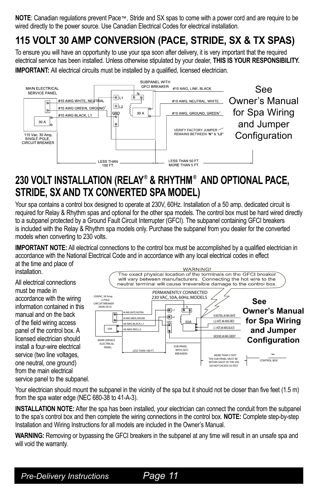**NOTE**: Canadian regulations prevent Pace™, Stride and SX spas to come with a power cord and are require to be wired directly to the power source. Use Canadian Electrical Codes for electrical installation.

#### **115 VOLT 30 AMP CONVERSION (PACE, STRIDE, SX & TX SPAS)**

To ensure you will have an opportunity to use your spa soon after delivery, it is very important that the required electrical service has been installed. Unless otherwise stipulated by your dealer, **THIS IS YOUR RESPONSIBILITY.**

**IMPORTANT:** All electrical circuits must be installed by a qualified, licensed electrician.



#### **230 VOLT INSTALLATION (RELAY® & RHYTHM® AND OPTIONAL PACE, STRIDE, SX AND TX CONVERTED SPA MODEL)**

Your spa contains a control box designed to operate at 230V, 60Hz. Installation of a 50 amp. dedicated circuit is required for Relay & Rhythm spas and optional for the other spa models. The control box must be hard wired directly to a subpanel protected by a Ground Fault Circuit Interrupter (GFCI). The subpanel containing GFCI breakers is included with the Relay & Rhythm spa models only. Purchase the subpanel from you dealer for the converted models when converting to 230 volts.

**IMPORTANT NOTE:** All electrical connections to the control box must be accomplished by a qualified electrician in accordance with the National Electrical Code and in accordance with any local electrical codes in effect at the time and place of installation.

All electrical connections must be made in accordance with the wiring information contained in this manual and on the back of the field wiring access panel of the control box. A licensed electrician should install a four-wire electrical service (two line voltages, one neutral, one ground) from the main electrical service panel to the subpanel.



Your electrician should mount the subpanel in the vicinity of the spa but it should not be closer than five feet (1.5 m) from the spa water edge (NEC 680-38 to 41-A-3).  $\overline{a}$ JUMPERS REQUIRED

INSTALLATION NOTE: After the spa has been installed, your electrician can connect the conduit from the subpanel to the spa's control box and then complete the wiring connections in the control box. **NOTE:** Complete step-by-step Installation and Wiring Instructions for all models are included in the Owner's Manual.

**WARNING:** Removing or bypassing the GFCI breakers in the subpanel at any time will result in an unsafe spa and will void the warranty.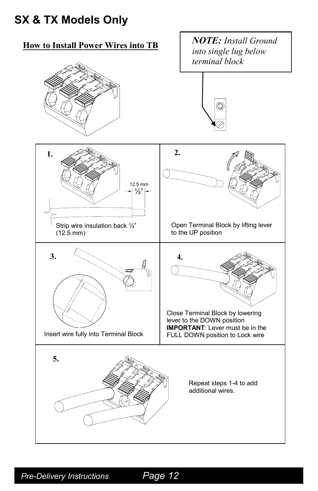### *Refer to spa's wiring diagram on back of control box cover for proper wiring and jumper configuration.* **SX & TX Models Only**

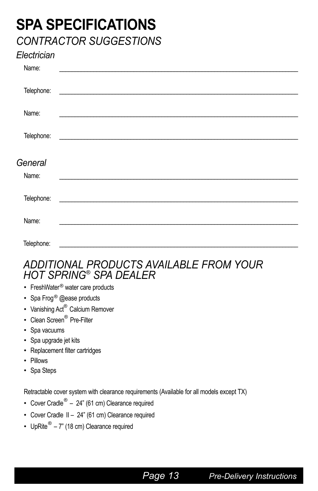### **SPA SPECIFICATIONS** *CONTRACTOR SUGGESTIONS*

#### *Electrician*

| Name:      |                                                                                                                         |
|------------|-------------------------------------------------------------------------------------------------------------------------|
|            |                                                                                                                         |
| Telephone: | <u> The Communication of the Communication of the Communication of the Communication of the Communication of the Co</u> |
|            |                                                                                                                         |
| Name:      |                                                                                                                         |
|            |                                                                                                                         |
| Telephone: | <u> 1989 - Andrea Stadt Britain, fransk politik (d. 1989)</u>                                                           |
|            |                                                                                                                         |
| General    |                                                                                                                         |
|            |                                                                                                                         |
|            |                                                                                                                         |
| Name:      |                                                                                                                         |
|            |                                                                                                                         |
| Telephone: |                                                                                                                         |
|            |                                                                                                                         |
| Name:      |                                                                                                                         |
| Telephone: |                                                                                                                         |

#### *ADDITIONAL PRODUCTS AVAILABLE FROM YOUR HOT SPRING® SPA DEALER*

- FreshWater<sup>®</sup> water care products
- Spa Frog<sup>®</sup> @ease products
- Vanishing Act<sup>®</sup> Calcium Remover
- Clean Screen<sup>®</sup> Pre-Filter
- Spa vacuums
- Spa upgrade jet kits
- Replacement filter cartridges
- Pillows
- Spa Steps

Retractable cover system with clearance requirements (Available for all models except TX)

- Cover Cradle<sup>®</sup> 24" (61 cm) Clearance required
- Cover Cradle II 24" (61 cm) Clearance required
- UpRite<sup>®</sup>  $7$ " (18 cm) Clearance required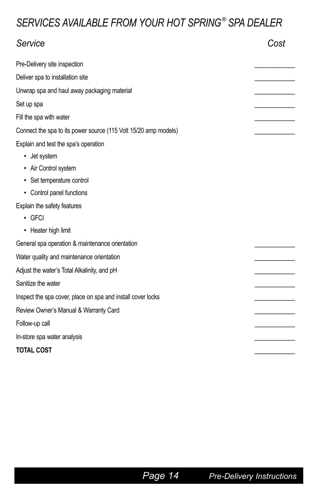#### *SERVICES AVAILABLE FROM YOUR HOT SPRING® SPA DEALER*

| Service                                                         | Cost |
|-----------------------------------------------------------------|------|
| Pre-Delivery site inspection                                    |      |
| Deliver spa to installation site                                |      |
| Unwrap spa and haul away packaging material                     |      |
| Set up spa                                                      |      |
| Fill the spa with water                                         |      |
| Connect the spa to its power source (115 Volt 15/20 amp models) |      |
| Explain and test the spa's operation                            |      |
| • Jet system                                                    |      |
| • Air Control system                                            |      |
| • Set temperature control                                       |      |
| • Control panel functions                                       |      |
| Explain the safety features                                     |      |
| $\cdot$ GFCI                                                    |      |
| • Heater high limit                                             |      |
| General spa operation & maintenance orientation                 |      |
| Water quality and maintenance orientation                       |      |
| Adjust the water's Total Alkalinity, and pH                     |      |
| Sanitize the water                                              |      |
| Inspect the spa cover, place on spa and install cover locks     |      |
| Review Owner's Manual & Warranty Card                           |      |
| Follow-up call                                                  |      |
| In-store spa water analysis                                     |      |
| <b>TOTAL COST</b>                                               |      |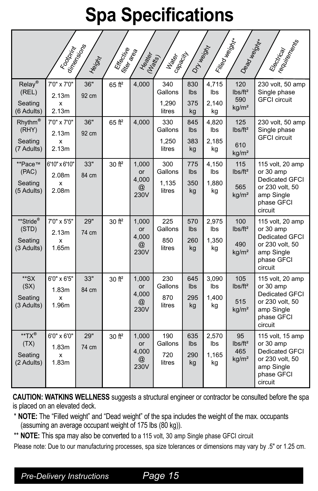## **Spa Specifications**

|                                              | Footbritty                           | dinensions<br>Height | Efective<br>filler area | Healey-                                                | Gapacity<br><b>Viates</b><br>(Natts) | DTHesiph                       | Filled Weight               | Dead Weight                                            | Electrical<br>Tequireal                                                                                          |
|----------------------------------------------|--------------------------------------|----------------------|-------------------------|--------------------------------------------------------|--------------------------------------|--------------------------------|-----------------------------|--------------------------------------------------------|------------------------------------------------------------------------------------------------------------------|
| Relay®<br>(REL)<br>Seating<br>(6 Adults)     | 7'0" x 7'0"<br>2.13m<br>x<br>2.13m   | 36"<br>92 cm         | $65$ ft <sup>2</sup>    | 4,000                                                  | 340<br>Gallons<br>1,290<br>litres    | 830<br>Ibs<br>375<br>kg        | 4,715<br>lbs<br>2,140<br>kg | 120<br>$lbs/ft^2$<br>590<br>kg/m <sup>2</sup>          | 230 volt, 50 amp<br>Single phase<br><b>GFCI</b> circuit                                                          |
| $R$ hythm®<br>(RHY)<br>Seating<br>(7 Adults) | 7'0" x 7'0"<br>2.13m<br>x<br>2.13m   | 36"<br>92 cm         | $65$ ft <sup>2</sup>    | 4,000                                                  | 330<br>Gallons<br>1,250<br>litres    | 845<br>Ibs<br>383<br>kg        | 4,820<br>lbs<br>2,185<br>kg | 125<br>$lbs/ft^2$<br>610<br>kg/m <sup>2</sup>          | 230 volt, 50 amp<br>Single phase<br><b>GFCI</b> circuit                                                          |
| **Pace™<br>(PAC)<br>Seating<br>(5 Adults)    | 6'10" x 6'10"<br>2.08m<br>x<br>2.08m | 33"<br>84 cm         | 30 ft <sup>2</sup>      | 1,000<br>or<br>4,000<br>$^{\textregistered}$<br>230V   | 300<br>Gallons<br>1,135<br>litres    | 775<br>Ibs<br>350<br>kg        | 4,150<br>Ibs<br>1,880<br>kg | 115<br>$lbs/ft^2$<br>565<br>kg/m <sup>2</sup>          | 115 volt, 20 amp<br>or 30 amp<br><b>Dedicated GFCI</b><br>or 230 volt, 50<br>amp Single<br>phase GFCI<br>circuit |
| **Stride®<br>(STD)<br>Seating<br>(3 Adults)  | 7'0" x 5'5"<br>2.13m<br>x<br>1.65m   | 29"<br>74 cm         | $30$ ft <sup>2</sup>    | 1,000<br><b>or</b><br>4,000<br>$^{\copyright}$<br>230V | 225<br>Gallons<br>850<br>litres      | 570<br><b>lbs</b><br>260<br>kg | 2,975<br>lbs<br>1,350<br>kg | 100<br>$lbs/ft^2$<br>490<br>kg/m <sup>2</sup>          | 115 volt, 20 amp<br>or 30 amp<br>Dedicated GFCI<br>or 230 volt, 50<br>amp Single<br>phase GFCI<br>circuit        |
| **SX<br>(SX)<br>Seating<br>(3 Adults)        | 6'0" x 6'5"<br>1.83m<br>x<br>1.96m   | 33"<br>84 cm         | 30 ft <sup>2</sup>      | 1,000<br>or<br>4,000<br>$^{\textregistered}$<br>230V   | 230<br>Gallons<br>870<br>litres      | 645<br>Ibs<br>295<br>kg        | 3,090<br>lbs<br>1,400<br>kg | 105<br>lbs/ft <sup>2</sup><br>515<br>kg/m <sup>2</sup> | 115 volt, 20 amp<br>or 30 amp<br>Dedicated GFCI<br>or 230 volt, 50<br>amp Single<br>phase GFCI<br>circuit        |
| **TX®<br>(TX)<br>Seating<br>(2 Adults)       | 6'0" x 6'0"<br>1.83m<br>x<br>1.83m   | 29"<br>74 cm         | $30$ ft <sup>2</sup>    | 1,000<br>or<br>4,000<br>$^{\textregistered}$<br>230V   | 190<br>Gallons<br>720<br>litres      | 635<br>Ibs<br>290<br>kg        | 2,570<br>lbs<br>1,165<br>kg | 95<br>lbs/ft <sup>2</sup><br>465<br>kg/m <sup>2</sup>  | 115 volt, 15 amp<br>or 30 amp<br>Dedicated GFCI<br>or 230 volt, 50<br>amp Single<br>phase GFCI<br>circuit        |

**CAUTION: WATKINS WELLNESS** suggests a structural engineer or contractor be consulted before the spa is placed on an elevated deck.

- \* **NOTE:** The "Filled weight" and "Dead weight" of the spa includes the weight of the max. occupants (assuming an average occupant weight of 175 lbs (80 kg)).
- \*\* **NOTE:** This spa may also be converted to a 115 volt, 30 amp Single phase GFCI circuit

Please note: Due to our manufacturing processes, spa size tolerances or dimensions may vary by .5" or 1.25 cm.